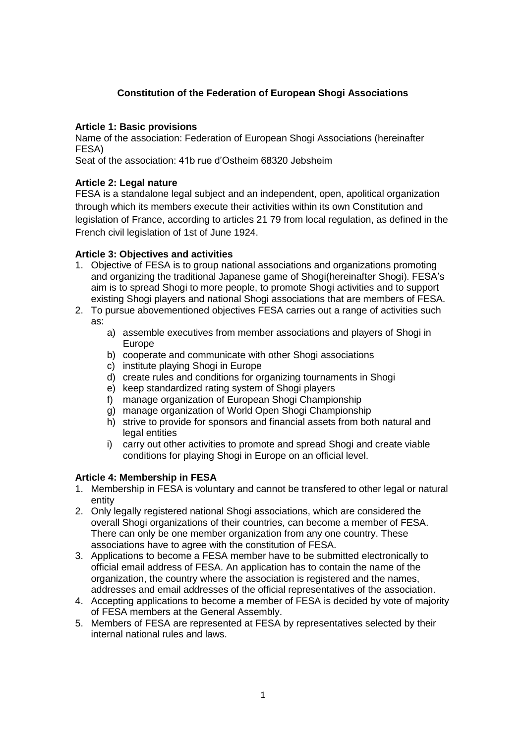# **Constitution of the Federation of European Shogi Associations**

### **Article 1: Basic provisions**

Name of the association: Federation of European Shogi Associations (hereinafter FESA)

Seat of the association: 41b rue d'Ostheim 68320 Jebsheim

### **Article 2: Legal nature**

FESA is a standalone legal subject and an independent, open, apolitical organization through which its members execute their activities within its own Constitution and legislation of France, according to articles 21 79 from local regulation, as defined in the French civil legislation of 1st of June 1924.

### **Article 3: Objectives and activities**

- 1. Objective of FESA is to group national associations and organizations promoting and organizing the traditional Japanese game of Shogi(hereinafter Shogi). FESA's aim is to spread Shogi to more people, to promote Shogi activities and to support existing Shogi players and national Shogi associations that are members of FESA.
- 2. To pursue abovementioned objectives FESA carries out a range of activities such as:
	- a) assemble executives from member associations and players of Shogi in Europe
	- b) cooperate and communicate with other Shogi associations
	- c) institute playing Shogi in Europe
	- d) create rules and conditions for organizing tournaments in Shogi
	- e) keep standardized rating system of Shogi players
	- f) manage organization of European Shogi Championship
	- g) manage organization of World Open Shogi Championship
	- h) strive to provide for sponsors and financial assets from both natural and legal entities
	- i) carry out other activities to promote and spread Shogi and create viable conditions for playing Shogi in Europe on an official level.

### **Article 4: Membership in FESA**

- 1. Membership in FESA is voluntary and cannot be transfered to other legal or natural entity
- 2. Only legally registered national Shogi associations, which are considered the overall Shogi organizations of their countries, can become a member of FESA. There can only be one member organization from any one country. These associations have to agree with the constitution of FESA.
- 3. Applications to become a FESA member have to be submitted electronically to official email address of FESA. An application has to contain the name of the organization, the country where the association is registered and the names, addresses and email addresses of the official representatives of the association.
- 4. Accepting applications to become a member of FESA is decided by vote of majority of FESA members at the General Assembly.
- 5. Members of FESA are represented at FESA by representatives selected by their internal national rules and laws.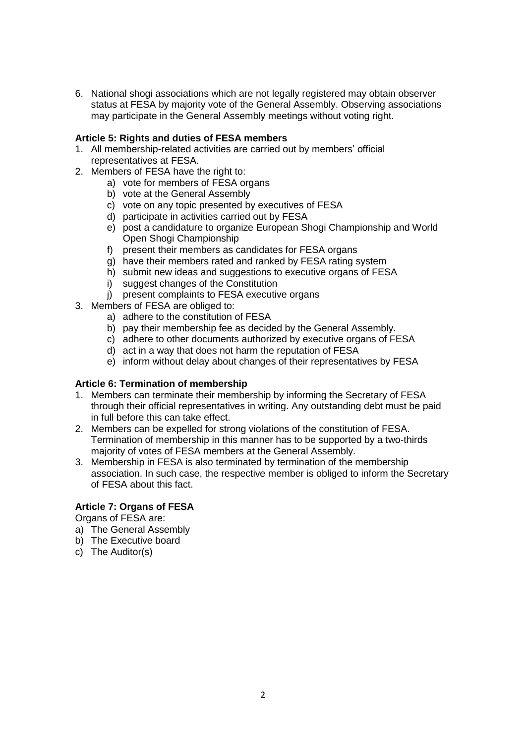6. National shogi associations which are not legally registered may obtain observer status at FESA by majority vote of the General Assembly. Observing associations may participate in the General Assembly meetings without voting right.

### **Article 5: Rights and duties of FESA members**

- 1. All membership-related activities are carried out by members' official representatives at FESA.
- 2. Members of FESA have the right to:
	- a) vote for members of FESA organs
		- b) vote at the General Assembly
		- c) vote on any topic presented by executives of FESA
		- d) participate in activities carried out by FESA
		- e) post a candidature to organize European Shogi Championship and World Open Shogi Championship
		- f) present their members as candidates for FESA organs
		- g) have their members rated and ranked by FESA rating system
		- h) submit new ideas and suggestions to executive organs of FESA
		- i) suggest changes of the Constitution
		- j) present complaints to FESA executive organs
- 3. Members of FESA are obliged to:
	- a) adhere to the constitution of FESA
	- b) pay their membership fee as decided by the General Assembly.
	- c) adhere to other documents authorized by executive organs of FESA
	- d) act in a way that does not harm the reputation of FESA
	- e) inform without delay about changes of their representatives by FESA

## **Article 6: Termination of membership**

- 1. Members can terminate their membership by informing the Secretary of FESA through their official representatives in writing. Any outstanding debt must be paid in full before this can take effect.
- 2. Members can be expelled for strong violations of the constitution of FESA. Termination of membership in this manner has to be supported by a two-thirds majority of votes of FESA members at the General Assembly.
- 3. Membership in FESA is also terminated by termination of the membership association. In such case, the respective member is obliged to inform the Secretary of FESA about this fact.

## **Article 7: Organs of FESA**

Organs of FESA are:

- a) The General Assembly
- b) The Executive board
- c) The Auditor(s)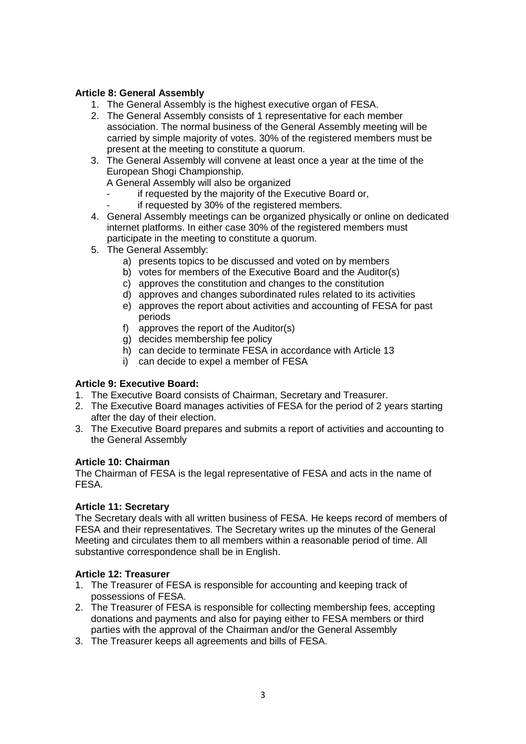### **Article 8: General Assembly**

- 1. The General Assembly is the highest executive organ of FESA.
- 2. The General Assembly consists of 1 representative for each member association. The normal business of the General Assembly meeting will be carried by simple majority of votes. 30% of the registered members must be present at the meeting to constitute a quorum.
- 3. The General Assembly will convene at least once a year at the time of the European Shogi Championship.
	- A General Assembly will also be organized
		- if requested by the majority of the Executive Board or,
		- if requested by 30% of the registered members.
- 4. General Assembly meetings can be organized physically or online on dedicated internet platforms. In either case 30% of the registered members must participate in the meeting to constitute a quorum.
- 5. The General Assembly:
	- a) presents topics to be discussed and voted on by members
	- b) votes for members of the Executive Board and the Auditor(s)
	- c) approves the constitution and changes to the constitution
	- d) approves and changes subordinated rules related to its activities
	- e) approves the report about activities and accounting of FESA for past periods
	- f) approves the report of the Auditor(s)
	- g) decides membership fee policy
	- h) can decide to terminate FESA in accordance with Article 13
	- i) can decide to expel a member of FESA

### **Article 9: Executive Board:**

- 1. The Executive Board consists of Chairman, Secretary and Treasurer.
- 2. The Executive Board manages activities of FESA for the period of 2 years starting after the day of their election.
- 3. The Executive Board prepares and submits a report of activities and accounting to the General Assembly

### **Article 10: Chairman**

The Chairman of FESA is the legal representative of FESA and acts in the name of FESA.

### **Article 11: Secretary**

The Secretary deals with all written business of FESA. He keeps record of members of FESA and their representatives. The Secretary writes up the minutes of the General Meeting and circulates them to all members within a reasonable period of time. All substantive correspondence shall be in English.

### **Article 12: Treasurer**

- 1. The Treasurer of FESA is responsible for accounting and keeping track of possessions of FESA.
- 2. The Treasurer of FESA is responsible for collecting membership fees, accepting donations and payments and also for paying either to FESA members or third parties with the approval of the Chairman and/or the General Assembly
- 3. The Treasurer keeps all agreements and bills of FESA.